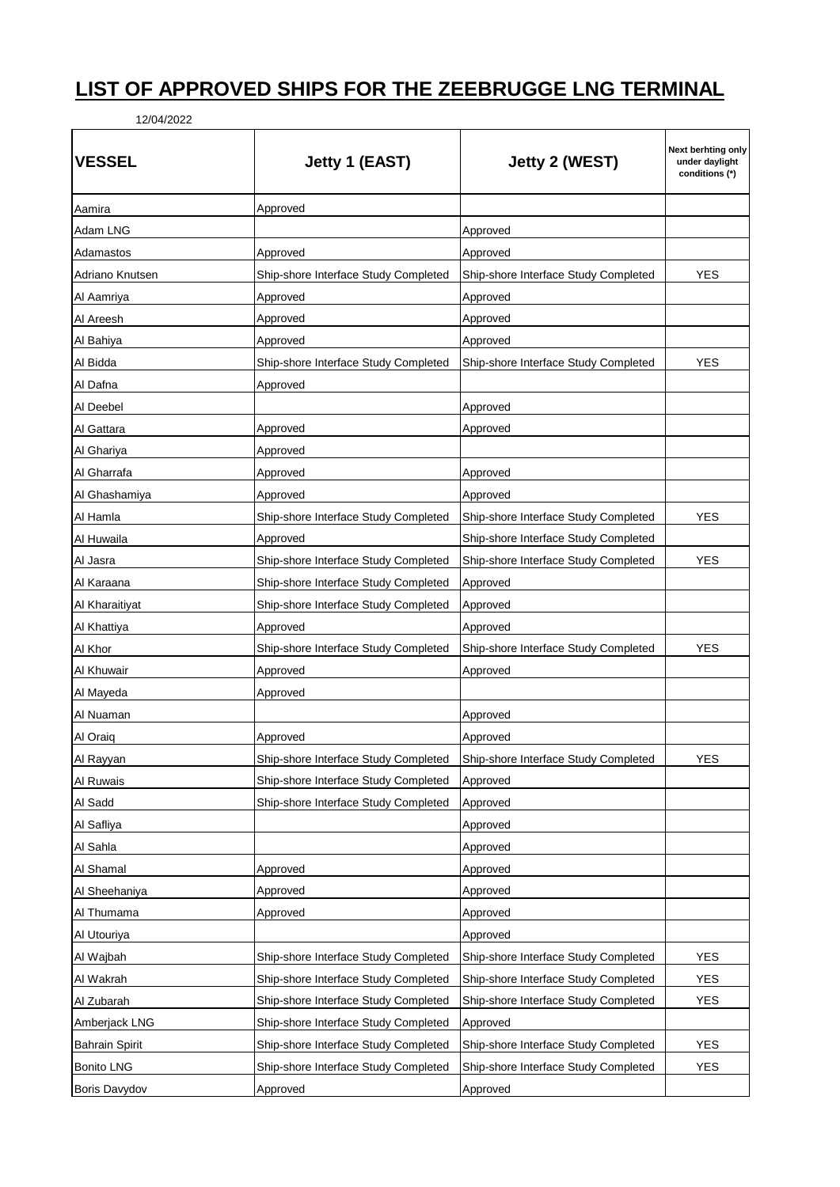## **LIST OF APPROVED SHIPS FOR THE ZEEBRUGGE LNG TERMINAL**

12/04/2022

| <b>VESSEL</b>         | Jetty 1 (EAST)                       | Jetty 2 (WEST)                       | Next berhting only<br>under daylight<br>conditions (*) |
|-----------------------|--------------------------------------|--------------------------------------|--------------------------------------------------------|
| Aamira                | Approved                             |                                      |                                                        |
| Adam LNG              |                                      | Approved                             |                                                        |
| Adamastos             | Approved                             | Approved                             |                                                        |
| Adriano Knutsen       | Ship-shore Interface Study Completed | Ship-shore Interface Study Completed | YES                                                    |
| Al Aamriya            | Approved                             | Approved                             |                                                        |
| Al Areesh             | Approved                             | Approved                             |                                                        |
| Al Bahiya             | Approved                             | Approved                             |                                                        |
| Al Bidda              | Ship-shore Interface Study Completed | Ship-shore Interface Study Completed | YES                                                    |
| Al Dafna              | Approved                             |                                      |                                                        |
| Al Deebel             |                                      | Approved                             |                                                        |
| Al Gattara            | Approved                             | Approved                             |                                                        |
| Al Ghariya            | Approved                             |                                      |                                                        |
| Al Gharrafa           | Approved                             | Approved                             |                                                        |
| Al Ghashamiya         | Approved                             | Approved                             |                                                        |
| Al Hamla              | Ship-shore Interface Study Completed | Ship-shore Interface Study Completed | <b>YES</b>                                             |
| Al Huwaila            | Approved                             | Ship-shore Interface Study Completed |                                                        |
| Al Jasra              | Ship-shore Interface Study Completed | Ship-shore Interface Study Completed | YES                                                    |
| Al Karaana            | Ship-shore Interface Study Completed | Approved                             |                                                        |
| Al Kharaitiyat        | Ship-shore Interface Study Completed | Approved                             |                                                        |
| Al Khattiya           | Approved                             | Approved                             |                                                        |
| Al Khor               | Ship-shore Interface Study Completed | Ship-shore Interface Study Completed | YES                                                    |
| Al Khuwair            | Approved                             | Approved                             |                                                        |
| Al Mayeda             | Approved                             |                                      |                                                        |
| Al Nuaman             |                                      | Approved                             |                                                        |
| Al Oraiq              | Approved                             | Approved                             |                                                        |
| Al Rayyan             | Ship-shore Interface Study Completed | Ship-shore Interface Study Completed | <b>YES</b>                                             |
| Al Ruwais             | Ship-shore Interface Study Completed | Approved                             |                                                        |
| Al Sadd               | Ship-shore Interface Study Completed | Approved                             |                                                        |
| Al Safliya            |                                      | Approved                             |                                                        |
| Al Sahla              |                                      | Approved                             |                                                        |
| Al Shamal             | Approved                             | Approved                             |                                                        |
| Al Sheehaniya         | Approved                             | Approved                             |                                                        |
| Al Thumama            | Approved                             | Approved                             |                                                        |
| Al Utouriya           |                                      | Approved                             |                                                        |
| Al Wajbah             | Ship-shore Interface Study Completed | Ship-shore Interface Study Completed | YES                                                    |
| Al Wakrah             | Ship-shore Interface Study Completed | Ship-shore Interface Study Completed | <b>YES</b>                                             |
| Al Zubarah            | Ship-shore Interface Study Completed | Ship-shore Interface Study Completed | <b>YES</b>                                             |
| Amberjack LNG         | Ship-shore Interface Study Completed | Approved                             |                                                        |
| <b>Bahrain Spirit</b> | Ship-shore Interface Study Completed | Ship-shore Interface Study Completed | <b>YES</b>                                             |
| <b>Bonito LNG</b>     | Ship-shore Interface Study Completed | Ship-shore Interface Study Completed | <b>YES</b>                                             |
| Boris Davydov         | Approved                             | Approved                             |                                                        |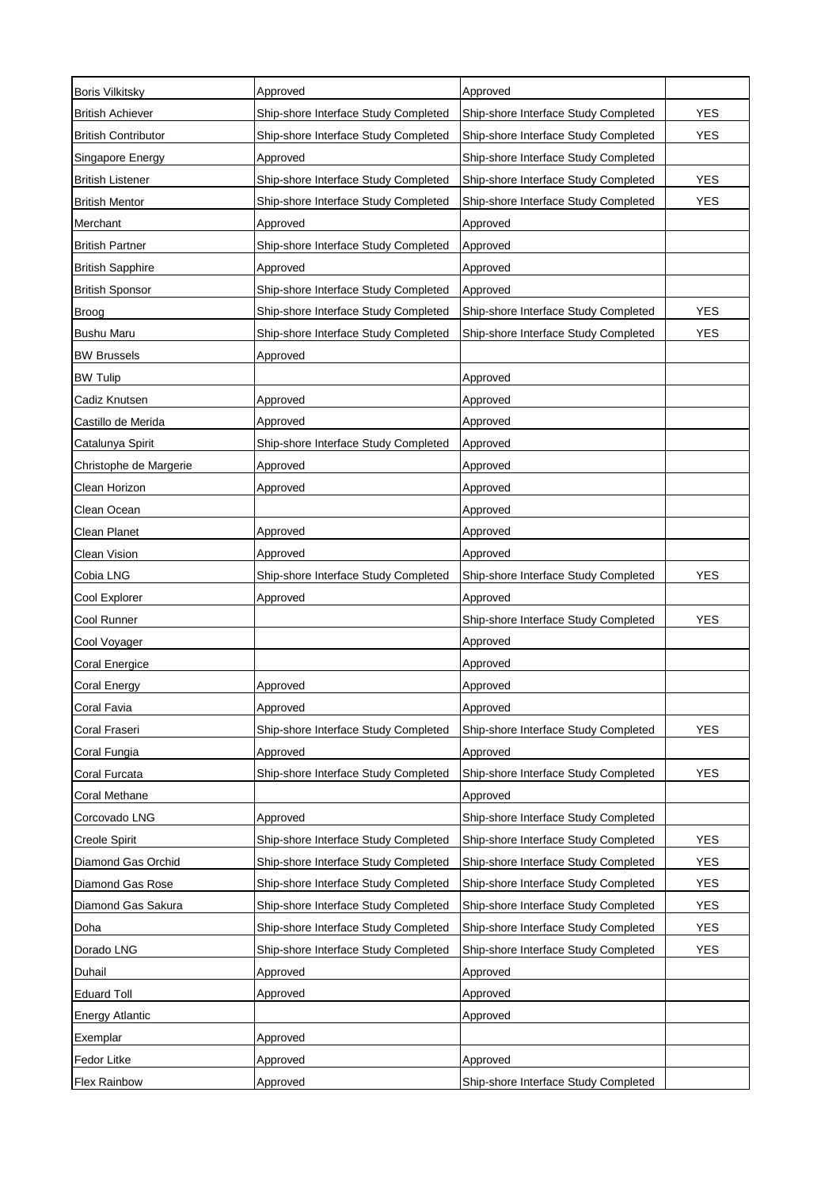| <b>Boris Vilkitsky</b>     | Approved                             | Approved                             |            |
|----------------------------|--------------------------------------|--------------------------------------|------------|
| <b>British Achiever</b>    | Ship-shore Interface Study Completed | Ship-shore Interface Study Completed | <b>YES</b> |
| <b>British Contributor</b> | Ship-shore Interface Study Completed | Ship-shore Interface Study Completed | <b>YES</b> |
| Singapore Energy           | Approved                             | Ship-shore Interface Study Completed |            |
| <b>British Listener</b>    | Ship-shore Interface Study Completed | Ship-shore Interface Study Completed | <b>YES</b> |
| <b>British Mentor</b>      | Ship-shore Interface Study Completed | Ship-shore Interface Study Completed | <b>YES</b> |
| Merchant                   | Approved                             | Approved                             |            |
| <b>British Partner</b>     | Ship-shore Interface Study Completed | Approved                             |            |
| <b>British Sapphire</b>    | Approved                             | Approved                             |            |
| <b>British Sponsor</b>     | Ship-shore Interface Study Completed | Approved                             |            |
| <b>Broog</b>               | Ship-shore Interface Study Completed | Ship-shore Interface Study Completed | <b>YES</b> |
| <b>Bushu Maru</b>          | Ship-shore Interface Study Completed | Ship-shore Interface Study Completed | <b>YES</b> |
| <b>BW Brussels</b>         | Approved                             |                                      |            |
| <b>BW Tulip</b>            |                                      | Approved                             |            |
| Cadiz Knutsen              | Approved                             | Approved                             |            |
| Castillo de Merida         | Approved                             | Approved                             |            |
| Catalunya Spirit           | Ship-shore Interface Study Completed | Approved                             |            |
| Christophe de Margerie     | Approved                             | Approved                             |            |
| Clean Horizon              | Approved                             | Approved                             |            |
| Clean Ocean                |                                      | Approved                             |            |
| Clean Planet               | Approved                             | Approved                             |            |
| Clean Vision               | Approved                             | Approved                             |            |
| Cobia LNG                  | Ship-shore Interface Study Completed | Ship-shore Interface Study Completed | <b>YES</b> |
| Cool Explorer              | Approved                             | Approved                             |            |
| Cool Runner                |                                      | Ship-shore Interface Study Completed | <b>YES</b> |
| Cool Voyager               |                                      | Approved                             |            |
| Coral Energice             |                                      | Approved                             |            |
| Coral Energy               | Approved                             | Approved                             |            |
| Coral Favia                | Approved                             | Approved                             |            |
| Coral Fraseri              | Ship-shore Interface Study Completed | Ship-shore Interface Study Completed | <b>YES</b> |
| Coral Fungia               | Approved                             | Approved                             |            |
| Coral Furcata              | Ship-shore Interface Study Completed | Ship-shore Interface Study Completed | <b>YES</b> |
| Coral Methane              |                                      | Approved                             |            |
| Corcovado LNG              | Approved                             | Ship-shore Interface Study Completed |            |
| Creole Spirit              | Ship-shore Interface Study Completed | Ship-shore Interface Study Completed | <b>YES</b> |
| Diamond Gas Orchid         | Ship-shore Interface Study Completed | Ship-shore Interface Study Completed | <b>YES</b> |
| Diamond Gas Rose           | Ship-shore Interface Study Completed | Ship-shore Interface Study Completed | <b>YES</b> |
| Diamond Gas Sakura         | Ship-shore Interface Study Completed | Ship-shore Interface Study Completed | YES        |
| Doha                       | Ship-shore Interface Study Completed | Ship-shore Interface Study Completed | YES        |
| Dorado LNG                 | Ship-shore Interface Study Completed | Ship-shore Interface Study Completed | YES        |
| Duhail                     | Approved                             | Approved                             |            |
| <b>Eduard Toll</b>         | Approved                             | Approved                             |            |
| <b>Energy Atlantic</b>     |                                      | Approved                             |            |
| Exemplar                   | Approved                             |                                      |            |
| Fedor Litke                | Approved                             | Approved                             |            |
| <b>Flex Rainbow</b>        | Approved                             | Ship-shore Interface Study Completed |            |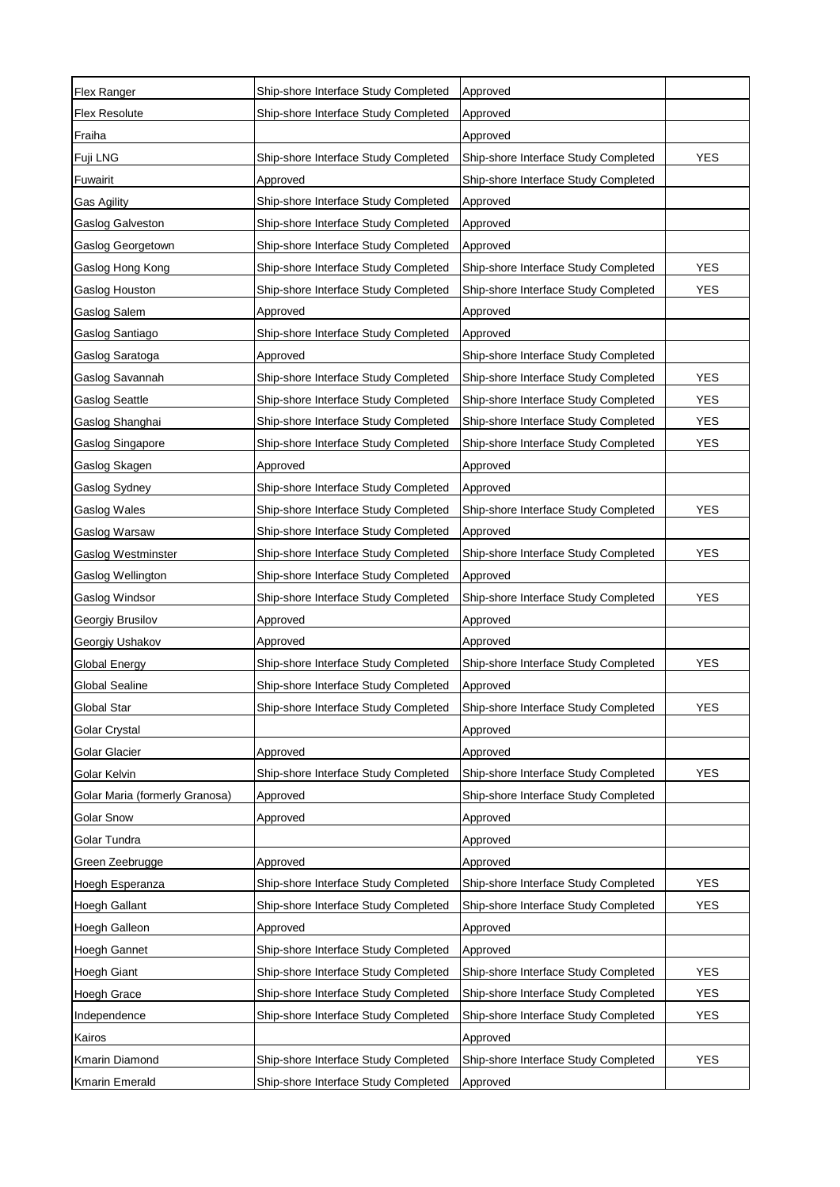| Flex Ranger                    | Ship-shore Interface Study Completed | Approved                             |            |
|--------------------------------|--------------------------------------|--------------------------------------|------------|
| <b>Flex Resolute</b>           | Ship-shore Interface Study Completed | Approved                             |            |
| Fraiha                         |                                      | Approved                             |            |
| Fuji LNG                       | Ship-shore Interface Study Completed | Ship-shore Interface Study Completed | <b>YES</b> |
| Fuwairit                       | Approved                             | Ship-shore Interface Study Completed |            |
| Gas Agility                    | Ship-shore Interface Study Completed | Approved                             |            |
| Gaslog Galveston               | Ship-shore Interface Study Completed | Approved                             |            |
| Gaslog Georgetown              | Ship-shore Interface Study Completed | Approved                             |            |
| Gaslog Hong Kong               | Ship-shore Interface Study Completed | Ship-shore Interface Study Completed | <b>YES</b> |
| Gaslog Houston                 | Ship-shore Interface Study Completed | Ship-shore Interface Study Completed | <b>YES</b> |
| Gaslog Salem                   | Approved                             | Approved                             |            |
| Gaslog Santiago                | Ship-shore Interface Study Completed | Approved                             |            |
| Gaslog Saratoga                | Approved                             | Ship-shore Interface Study Completed |            |
| Gaslog Savannah                | Ship-shore Interface Study Completed | Ship-shore Interface Study Completed | <b>YES</b> |
| <b>Gaslog Seattle</b>          | Ship-shore Interface Study Completed | Ship-shore Interface Study Completed | <b>YES</b> |
| Gaslog Shanghai                | Ship-shore Interface Study Completed | Ship-shore Interface Study Completed | <b>YES</b> |
| Gaslog Singapore               | Ship-shore Interface Study Completed | Ship-shore Interface Study Completed | <b>YES</b> |
| Gaslog Skagen                  | Approved                             | Approved                             |            |
| Gaslog Sydney                  | Ship-shore Interface Study Completed | Approved                             |            |
| Gaslog Wales                   | Ship-shore Interface Study Completed | Ship-shore Interface Study Completed | <b>YES</b> |
| Gaslog Warsaw                  | Ship-shore Interface Study Completed | Approved                             |            |
| Gaslog Westminster             | Ship-shore Interface Study Completed | Ship-shore Interface Study Completed | <b>YES</b> |
| Gaslog Wellington              | Ship-shore Interface Study Completed | Approved                             |            |
| Gaslog Windsor                 | Ship-shore Interface Study Completed | Ship-shore Interface Study Completed | <b>YES</b> |
| Georgiy Brusilov               | Approved                             | Approved                             |            |
| Georgiy Ushakov                | Approved                             | Approved                             |            |
| <b>Global Energy</b>           | Ship-shore Interface Study Completed | Ship-shore Interface Study Completed | <b>YES</b> |
| <b>Global Sealine</b>          | Ship-shore Interface Study Completed | Approved                             |            |
| <b>Global Star</b>             | Ship-shore Interface Study Completed | Ship-shore Interface Study Completed | <b>YES</b> |
| Golar Crystal                  |                                      | Approved                             |            |
| Golar Glacier                  | Approved                             | Approved                             |            |
| Golar Kelvin                   | Ship-shore Interface Study Completed | Ship-shore Interface Study Completed | <b>YES</b> |
| Golar Maria (formerly Granosa) | Approved                             | Ship-shore Interface Study Completed |            |
| <b>Golar Snow</b>              | Approved                             | Approved                             |            |
| Golar Tundra                   |                                      | Approved                             |            |
| Green Zeebrugge                | Approved                             | Approved                             |            |
| Hoegh Esperanza                | Ship-shore Interface Study Completed | Ship-shore Interface Study Completed | <b>YES</b> |
| Hoegh Gallant                  | Ship-shore Interface Study Completed | Ship-shore Interface Study Completed | YES        |
| Hoegh Galleon                  | Approved                             | Approved                             |            |
| Hoegh Gannet                   | Ship-shore Interface Study Completed | Approved                             |            |
| Hoegh Giant                    | Ship-shore Interface Study Completed | Ship-shore Interface Study Completed | <b>YES</b> |
| Hoegh Grace                    | Ship-shore Interface Study Completed | Ship-shore Interface Study Completed | <b>YES</b> |
| Independence                   | Ship-shore Interface Study Completed | Ship-shore Interface Study Completed | YES        |
| Kairos                         |                                      | Approved                             |            |
| Kmarin Diamond                 | Ship-shore Interface Study Completed | Ship-shore Interface Study Completed | YES        |
| Kmarin Emerald                 | Ship-shore Interface Study Completed | Approved                             |            |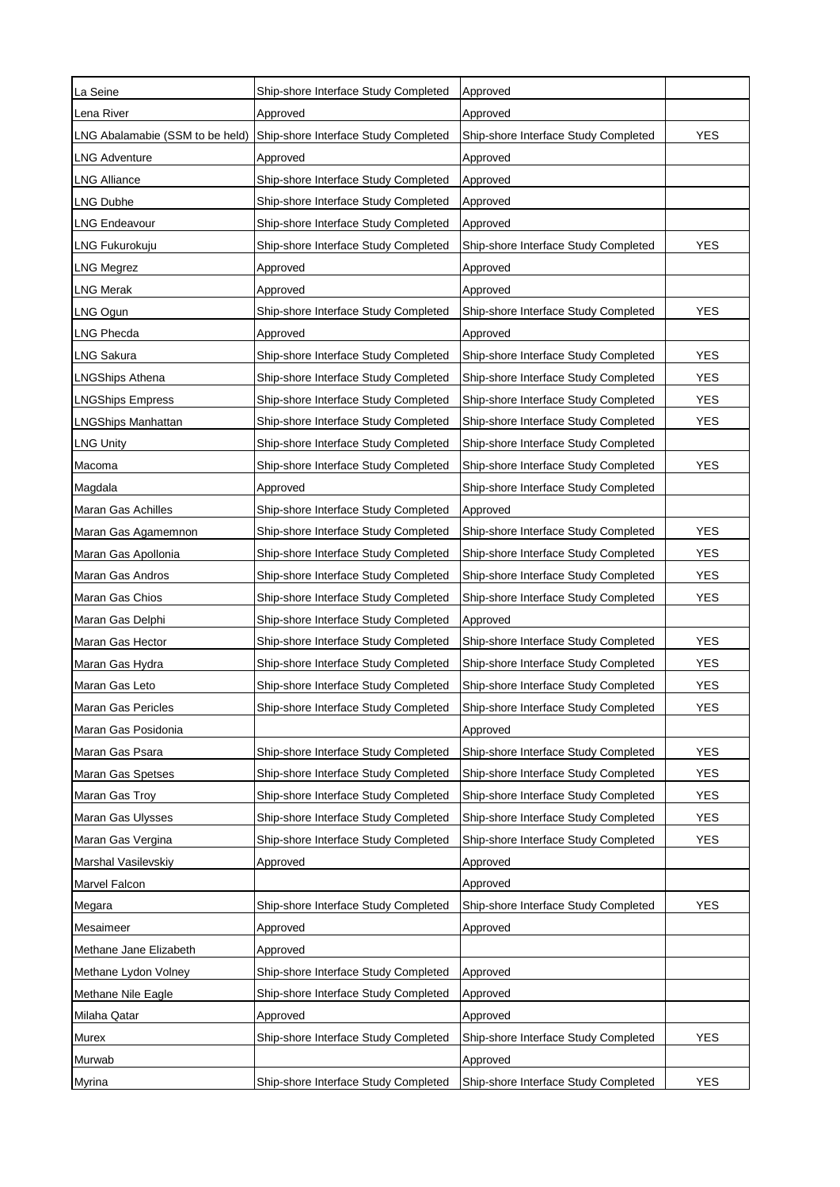| La Seine                        | Ship-shore Interface Study Completed | Approved                             |            |
|---------------------------------|--------------------------------------|--------------------------------------|------------|
| Lena River                      | Approved                             | Approved                             |            |
| LNG Abalamabie (SSM to be held) | Ship-shore Interface Study Completed | Ship-shore Interface Study Completed | <b>YES</b> |
| <b>LNG Adventure</b>            | Approved                             | Approved                             |            |
| <b>LNG Alliance</b>             | Ship-shore Interface Study Completed | Approved                             |            |
| LNG Dubhe                       | Ship-shore Interface Study Completed | Approved                             |            |
| <b>LNG Endeavour</b>            | Ship-shore Interface Study Completed | Approved                             |            |
| LNG Fukurokuju                  | Ship-shore Interface Study Completed | Ship-shore Interface Study Completed | <b>YES</b> |
| <b>LNG Megrez</b>               | Approved                             | Approved                             |            |
| LNG Merak                       | Approved                             | Approved                             |            |
| LNG Ogun                        | Ship-shore Interface Study Completed | Ship-shore Interface Study Completed | <b>YES</b> |
| <b>LNG Phecda</b>               | Approved                             | Approved                             |            |
| <b>LNG Sakura</b>               | Ship-shore Interface Study Completed | Ship-shore Interface Study Completed | <b>YES</b> |
| <b>LNGShips Athena</b>          | Ship-shore Interface Study Completed | Ship-shore Interface Study Completed | <b>YES</b> |
| <b>LNGShips Empress</b>         | Ship-shore Interface Study Completed | Ship-shore Interface Study Completed | <b>YES</b> |
| <b>LNGShips Manhattan</b>       | Ship-shore Interface Study Completed | Ship-shore Interface Study Completed | <b>YES</b> |
| <b>LNG Unity</b>                | Ship-shore Interface Study Completed | Ship-shore Interface Study Completed |            |
| Macoma                          | Ship-shore Interface Study Completed | Ship-shore Interface Study Completed | <b>YES</b> |
| Magdala                         | Approved                             | Ship-shore Interface Study Completed |            |
| <b>Maran Gas Achilles</b>       | Ship-shore Interface Study Completed | Approved                             |            |
| Maran Gas Agamemnon             | Ship-shore Interface Study Completed | Ship-shore Interface Study Completed | <b>YES</b> |
| Maran Gas Apollonia             | Ship-shore Interface Study Completed | Ship-shore Interface Study Completed | <b>YES</b> |
| Maran Gas Andros                | Ship-shore Interface Study Completed | Ship-shore Interface Study Completed | <b>YES</b> |
| Maran Gas Chios                 | Ship-shore Interface Study Completed | Ship-shore Interface Study Completed | <b>YES</b> |
| Maran Gas Delphi                | Ship-shore Interface Study Completed | Approved                             |            |
| Maran Gas Hector                | Ship-shore Interface Study Completed | Ship-shore Interface Study Completed | <b>YES</b> |
| Maran Gas Hydra                 | Ship-shore Interface Study Completed | Ship-shore Interface Study Completed | <b>YES</b> |
| Maran Gas Leto                  | Ship-shore Interface Study Completed | Ship-shore Interface Study Completed | <b>YES</b> |
| Maran Gas Pericles              | Ship-shore Interface Study Completed | Ship-shore Interface Study Completed | <b>YES</b> |
| Maran Gas Posidonia             |                                      | Approved                             |            |
| Maran Gas Psara                 | Ship-shore Interface Study Completed | Ship-shore Interface Study Completed | <b>YES</b> |
| Maran Gas Spetses               | Ship-shore Interface Study Completed | Ship-shore Interface Study Completed | <b>YES</b> |
| Maran Gas Troy                  | Ship-shore Interface Study Completed | Ship-shore Interface Study Completed | <b>YES</b> |
| Maran Gas Ulysses               | Ship-shore Interface Study Completed | Ship-shore Interface Study Completed | YES        |
| Maran Gas Vergina               | Ship-shore Interface Study Completed | Ship-shore Interface Study Completed | YES        |
| Marshal Vasilevskiy             | Approved                             | Approved                             |            |
| Marvel Falcon                   |                                      | Approved                             |            |
| Megara                          | Ship-shore Interface Study Completed | Ship-shore Interface Study Completed | <b>YES</b> |
| Mesaimeer                       | Approved                             | Approved                             |            |
| Methane Jane Elizabeth          | Approved                             |                                      |            |
| Methane Lydon Volney            | Ship-shore Interface Study Completed | Approved                             |            |
| Methane Nile Eagle              | Ship-shore Interface Study Completed | Approved                             |            |
| Milaha Qatar                    | Approved                             | Approved                             |            |
| Murex                           | Ship-shore Interface Study Completed | Ship-shore Interface Study Completed | <b>YES</b> |
| Murwab                          |                                      | Approved                             |            |
| Myrina                          | Ship-shore Interface Study Completed | Ship-shore Interface Study Completed | <b>YES</b> |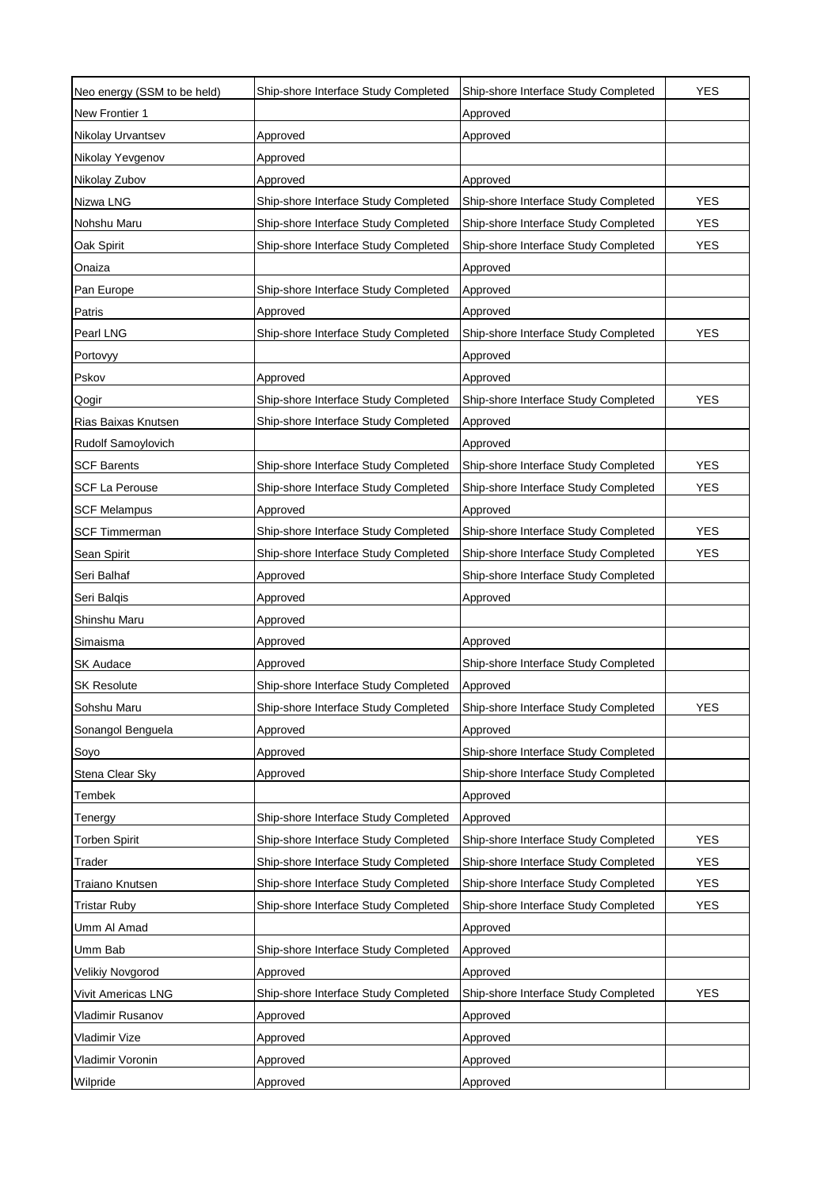| Neo energy (SSM to be held) | Ship-shore Interface Study Completed | Ship-shore Interface Study Completed | <b>YES</b> |
|-----------------------------|--------------------------------------|--------------------------------------|------------|
| New Frontier 1              |                                      | Approved                             |            |
| Nikolay Urvantsev           | Approved                             | Approved                             |            |
| Nikolay Yevgenov            | Approved                             |                                      |            |
| Nikolay Zubov               | Approved                             | Approved                             |            |
| Nizwa LNG                   | Ship-shore Interface Study Completed | Ship-shore Interface Study Completed | <b>YES</b> |
| Nohshu Maru                 | Ship-shore Interface Study Completed | Ship-shore Interface Study Completed | <b>YES</b> |
| Oak Spirit                  | Ship-shore Interface Study Completed | Ship-shore Interface Study Completed | <b>YES</b> |
| Onaiza                      |                                      | Approved                             |            |
| Pan Europe                  | Ship-shore Interface Study Completed | Approved                             |            |
| Patris                      | Approved                             | Approved                             |            |
| Pearl LNG                   | Ship-shore Interface Study Completed | Ship-shore Interface Study Completed | <b>YES</b> |
| Portovyy                    |                                      | Approved                             |            |
| Pskov                       | Approved                             | Approved                             |            |
| Qogir                       | Ship-shore Interface Study Completed | Ship-shore Interface Study Completed | <b>YES</b> |
| Rias Baixas Knutsen         | Ship-shore Interface Study Completed | Approved                             |            |
| Rudolf Samoylovich          |                                      | Approved                             |            |
| <b>SCF Barents</b>          | Ship-shore Interface Study Completed | Ship-shore Interface Study Completed | <b>YES</b> |
| <b>SCF La Perouse</b>       | Ship-shore Interface Study Completed | Ship-shore Interface Study Completed | <b>YES</b> |
| <b>SCF Melampus</b>         | Approved                             | Approved                             |            |
| <b>SCF Timmerman</b>        | Ship-shore Interface Study Completed | Ship-shore Interface Study Completed | <b>YES</b> |
| Sean Spirit                 | Ship-shore Interface Study Completed | Ship-shore Interface Study Completed | <b>YES</b> |
| Seri Balhaf                 | Approved                             | Ship-shore Interface Study Completed |            |
| Seri Balqis                 | Approved                             | Approved                             |            |
| Shinshu Maru                | Approved                             |                                      |            |
| Simaisma                    | Approved                             | Approved                             |            |
| SK Audace                   | Approved                             | Ship-shore Interface Study Completed |            |
| <b>SK Resolute</b>          | Ship-shore Interface Study Completed | Approved                             |            |
| Sohshu Maru                 | Ship-shore Interface Study Completed | Ship-shore Interface Study Completed | <b>YES</b> |
| Sonangol Benguela           | Approved                             | Approved                             |            |
| Soyo                        | Approved                             | Ship-shore Interface Study Completed |            |
| Stena Clear Sky             | Approved                             | Ship-shore Interface Study Completed |            |
| Tembek                      |                                      | Approved                             |            |
| Tenergy                     | Ship-shore Interface Study Completed | Approved                             |            |
| Torben Spirit               | Ship-shore Interface Study Completed | Ship-shore Interface Study Completed | <b>YES</b> |
| Trader                      | Ship-shore Interface Study Completed | Ship-shore Interface Study Completed | <b>YES</b> |
| Traiano Knutsen             | Ship-shore Interface Study Completed | Ship-shore Interface Study Completed | YES        |
| <b>Tristar Ruby</b>         | Ship-shore Interface Study Completed | Ship-shore Interface Study Completed | YES        |
| Umm Al Amad                 |                                      | Approved                             |            |
| Umm Bab                     | Ship-shore Interface Study Completed | Approved                             |            |
| Velikiy Novgorod            | Approved                             | Approved                             |            |
| Vivit Americas LNG          | Ship-shore Interface Study Completed | Ship-shore Interface Study Completed | YES        |
| Vladimir Rusanov            | Approved                             | Approved                             |            |
| Vladimir Vize               | Approved                             | Approved                             |            |
| Vladimir Voronin            | Approved                             | Approved                             |            |
| Wilpride                    | Approved                             | Approved                             |            |